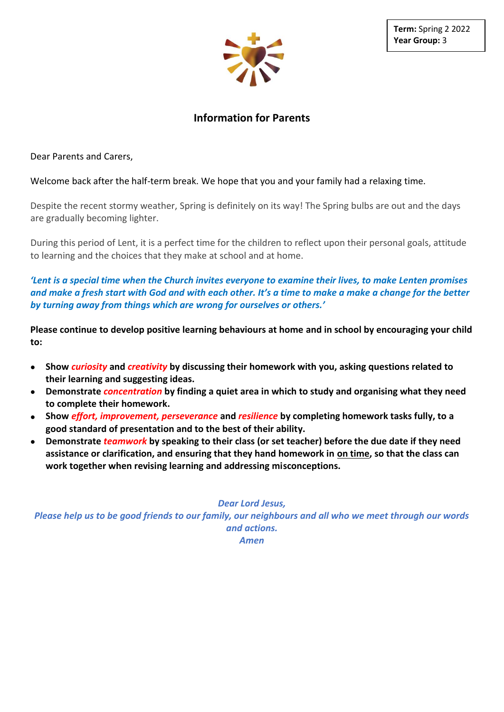

# **Information for Parents**

Dear Parents and Carers,

## Welcome back after the half-term break. We hope that you and your family had a relaxing time.

Despite the recent stormy weather, Spring is definitely on its way! The Spring bulbs are out and the days are gradually becoming lighter.

During this period of Lent, it is a perfect time for the children to reflect upon their personal goals, attitude to learning and the choices that they make at school and at home.

*'Lent is a special time when the Church invites everyone to examine their lives, to make Lenten promises and make a fresh start with God and with each other. It's a time to make a make a change for the better by turning away from things which are wrong for ourselves or others.'*

**Please continue to develop positive learning behaviours at home and in school by encouraging your child to:**

- **Show** *curiosity* **and** *creativity* **by discussing their homework with you, asking questions related to their learning and suggesting ideas.**
- **Demonstrate** *concentration* **by finding a quiet area in which to study and organising what they need to complete their homework.**
- **Show** *effort, improvement, perseverance* **and** *resilience* **by completing homework tasks fully, to a good standard of presentation and to the best of their ability.**
- **Demonstrate** *teamwork* **by speaking to their class (or set teacher) before the due date if they need assistance or clarification, and ensuring that they hand homework in on time, so that the class can work together when revising learning and addressing misconceptions.**

#### *Dear Lord Jesus,*

*Please help us to be good friends to our family, our neighbours and all who we meet through our words and actions.*

*Amen*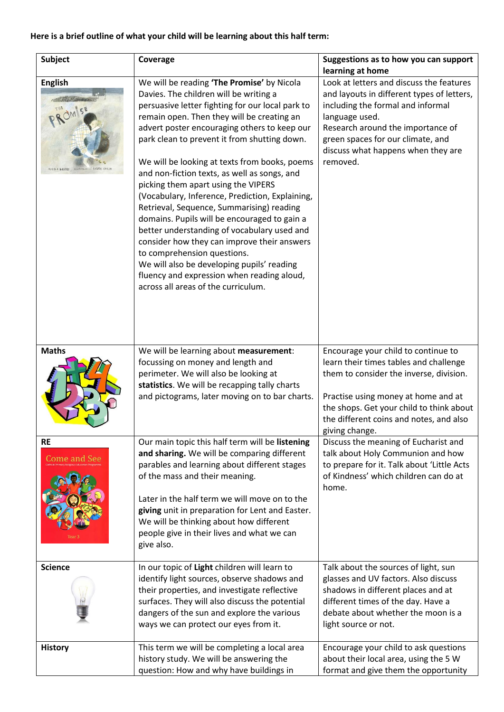## **Here is a brief outline of what your child will be learning about this half term:**

| <b>Subject</b>                                | Coverage                                                                                                                                                                                                                                                                                                                                                                                                                                                                                                                                                                                                                                                                                                                                                                                                                                       | Suggestions as to how you can support<br>learning at home                                                                                                                                                                                                                 |
|-----------------------------------------------|------------------------------------------------------------------------------------------------------------------------------------------------------------------------------------------------------------------------------------------------------------------------------------------------------------------------------------------------------------------------------------------------------------------------------------------------------------------------------------------------------------------------------------------------------------------------------------------------------------------------------------------------------------------------------------------------------------------------------------------------------------------------------------------------------------------------------------------------|---------------------------------------------------------------------------------------------------------------------------------------------------------------------------------------------------------------------------------------------------------------------------|
| <b>English</b><br>LAURA CARL<br>NICOLA DAVIES | We will be reading 'The Promise' by Nicola<br>Davies. The children will be writing a<br>persuasive letter fighting for our local park to<br>remain open. Then they will be creating an<br>advert poster encouraging others to keep our<br>park clean to prevent it from shutting down.<br>We will be looking at texts from books, poems<br>and non-fiction texts, as well as songs, and<br>picking them apart using the VIPERS<br>(Vocabulary, Inference, Prediction, Explaining,<br>Retrieval, Sequence, Summarising) reading<br>domains. Pupils will be encouraged to gain a<br>better understanding of vocabulary used and<br>consider how they can improve their answers<br>to comprehension questions.<br>We will also be developing pupils' reading<br>fluency and expression when reading aloud,<br>across all areas of the curriculum. | Look at letters and discuss the features<br>and layouts in different types of letters,<br>including the formal and informal<br>language used.<br>Research around the importance of<br>green spaces for our climate, and<br>discuss what happens when they are<br>removed. |
| <b>Maths</b>                                  | We will be learning about measurement:<br>focussing on money and length and<br>perimeter. We will also be looking at<br>statistics. We will be recapping tally charts<br>and pictograms, later moving on to bar charts.                                                                                                                                                                                                                                                                                                                                                                                                                                                                                                                                                                                                                        | Encourage your child to continue to<br>learn their times tables and challenge<br>them to consider the inverse, division.<br>Practise using money at home and at<br>the shops. Get your child to think about<br>the different coins and notes, and also<br>giving change.  |
| <b>RE</b><br><b>Come and See</b>              | Our main topic this half term will be listening<br>and sharing. We will be comparing different<br>parables and learning about different stages<br>of the mass and their meaning.<br>Later in the half term we will move on to the<br>giving unit in preparation for Lent and Easter.<br>We will be thinking about how different<br>people give in their lives and what we can<br>give also.                                                                                                                                                                                                                                                                                                                                                                                                                                                    | Discuss the meaning of Eucharist and<br>talk about Holy Communion and how<br>to prepare for it. Talk about 'Little Acts<br>of Kindness' which children can do at<br>home.                                                                                                 |
| <b>Science</b>                                | In our topic of Light children will learn to<br>identify light sources, observe shadows and<br>their properties, and investigate reflective<br>surfaces. They will also discuss the potential<br>dangers of the sun and explore the various<br>ways we can protect our eyes from it.                                                                                                                                                                                                                                                                                                                                                                                                                                                                                                                                                           | Talk about the sources of light, sun<br>glasses and UV factors. Also discuss<br>shadows in different places and at<br>different times of the day. Have a<br>debate about whether the moon is a<br>light source or not.                                                    |
| <b>History</b>                                | This term we will be completing a local area<br>history study. We will be answering the<br>question: How and why have buildings in                                                                                                                                                                                                                                                                                                                                                                                                                                                                                                                                                                                                                                                                                                             | Encourage your child to ask questions<br>about their local area, using the 5 W<br>format and give them the opportunity                                                                                                                                                    |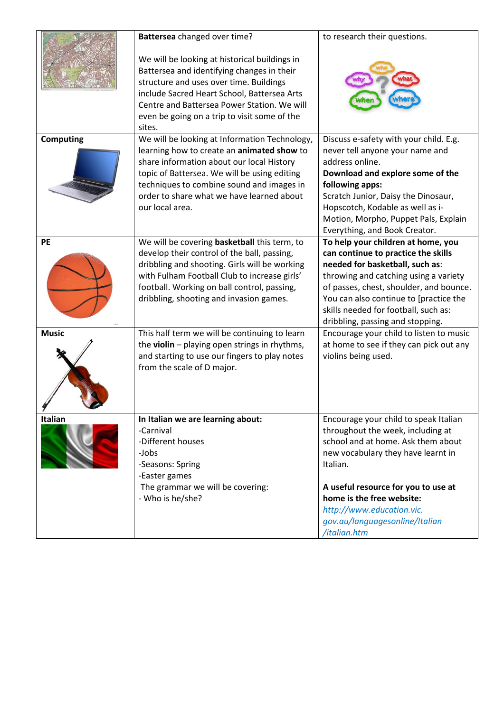|                  | Battersea changed over time?                                                                                                                                                                                                                                                                          | to research their questions.                                                                                                                                                                                                                                                                                           |
|------------------|-------------------------------------------------------------------------------------------------------------------------------------------------------------------------------------------------------------------------------------------------------------------------------------------------------|------------------------------------------------------------------------------------------------------------------------------------------------------------------------------------------------------------------------------------------------------------------------------------------------------------------------|
|                  | We will be looking at historical buildings in<br>Battersea and identifying changes in their<br>structure and uses over time. Buildings<br>include Sacred Heart School, Battersea Arts<br>Centre and Battersea Power Station. We will<br>even be going on a trip to visit some of the<br>sites.        |                                                                                                                                                                                                                                                                                                                        |
| <b>Computing</b> | We will be looking at Information Technology,<br>learning how to create an animated show to<br>share information about our local History<br>topic of Battersea. We will be using editing<br>techniques to combine sound and images in<br>order to share what we have learned about<br>our local area. | Discuss e-safety with your child. E.g.<br>never tell anyone your name and<br>address online.<br>Download and explore some of the<br>following apps:<br>Scratch Junior, Daisy the Dinosaur,<br>Hopscotch, Kodable as well as i-<br>Motion, Morpho, Puppet Pals, Explain<br>Everything, and Book Creator.                |
| PE               | We will be covering basketball this term, to<br>develop their control of the ball, passing,<br>dribbling and shooting. Girls will be working<br>with Fulham Football Club to increase girls'<br>football. Working on ball control, passing,<br>dribbling, shooting and invasion games.                | To help your children at home, you<br>can continue to practice the skills<br>needed for basketball, such as:<br>throwing and catching using a variety<br>of passes, chest, shoulder, and bounce.<br>You can also continue to [practice the<br>skills needed for football, such as:<br>dribbling, passing and stopping. |
| <b>Music</b>     | This half term we will be continuing to learn<br>the violin - playing open strings in rhythms,<br>and starting to use our fingers to play notes<br>from the scale of D major.                                                                                                                         | Encourage your child to listen to music<br>at home to see if they can pick out any<br>violins being used.                                                                                                                                                                                                              |
| Italian          | In Italian we are learning about:<br>-Carnival<br>-Different houses<br>-Jobs<br>-Seasons: Spring<br>-Easter games<br>The grammar we will be covering:<br>- Who is he/she?                                                                                                                             | Encourage your child to speak Italian<br>throughout the week, including at<br>school and at home. Ask them about<br>new vocabulary they have learnt in<br>Italian.<br>A useful resource for you to use at<br>home is the free website:<br>http://www.education.vic.<br>gov.au/languagesonline/Italian<br>/italian.htm  |